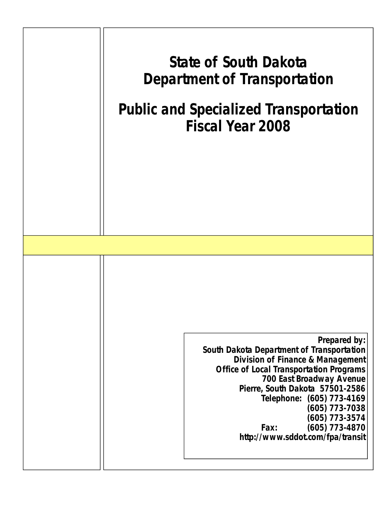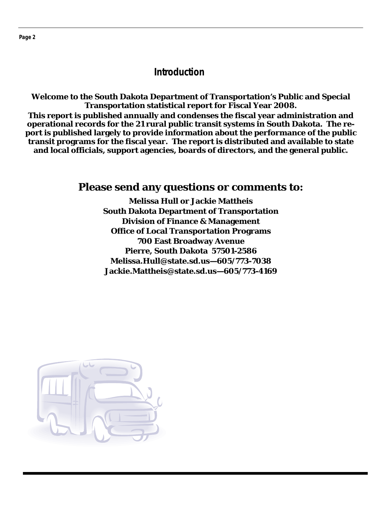## **Introduction**

**Welcome to the South Dakota Department of Transportation's Public and Special Transportation statistical report for Fiscal Year 2008. This report is published annually and condenses the fiscal year administration and operational records for the 21 rural public transit systems in South Dakota. The report is published largely to provide information about the performance of the public transit programs for the fiscal year. The report is distributed and available to state** 

**and local officials, support agencies, boards of directors, and the general public.** 

## **Please send any questions or comments to:**

**Melissa Hull or Jackie Mattheis South Dakota Department of Transportation Division of Finance & Management Office of Local Transportation Programs 700 East Broadway Avenue Pierre, South Dakota 57501-2586 Melissa.Hull@state.sd.us—605/773-7038 Jackie.Mattheis@state.sd.us—605/773-4169** 

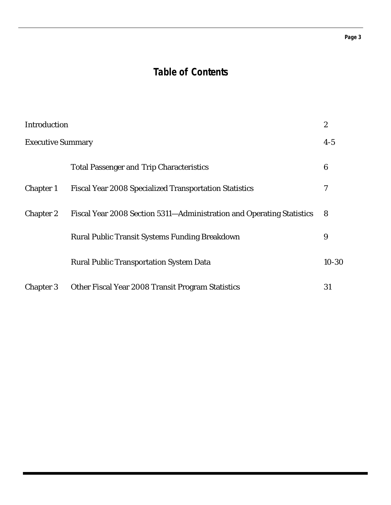#### **Page 3**

## **Table of Contents**

| Introduction             |                                                                       | $\boldsymbol{2}$ |
|--------------------------|-----------------------------------------------------------------------|------------------|
| <b>Executive Summary</b> |                                                                       | $4-5$            |
|                          | <b>Total Passenger and Trip Characteristics</b>                       | 6                |
| <b>Chapter 1</b>         | <b>Fiscal Year 2008 Specialized Transportation Statistics</b>         | 7                |
| <b>Chapter 2</b>         | Fiscal Year 2008 Section 5311-Administration and Operating Statistics | 8                |
|                          | Rural Public Transit Systems Funding Breakdown                        | 9                |
|                          | <b>Rural Public Transportation System Data</b>                        | $10 - 30$        |
| <b>Chapter 3</b>         | Other Fiscal Year 2008 Transit Program Statistics                     | 31               |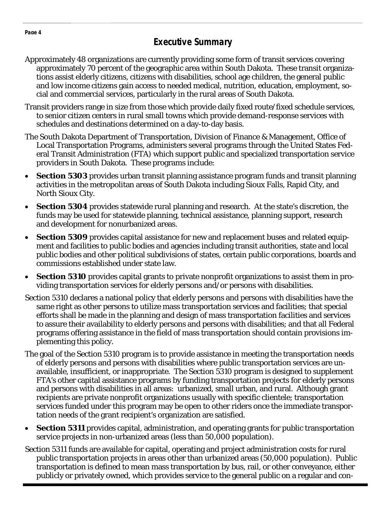- Approximately 48 organizations are currently providing some form of transit services covering approximately 70 percent of the geographic area within South Dakota. These transit organizations assist elderly citizens, citizens with disabilities, school age children, the general public and low income citizens gain access to needed medical, nutrition, education, employment, social and commercial services, particularly in the rural areas of South Dakota.
- Transit providers range in size from those which provide daily fixed route/fixed schedule services, to senior citizen centers in rural small towns which provide demand-response services with schedules and destinations determined on a day-to-day basis.
- The South Dakota Department of Transportation, Division of Finance & Management, Office of Local Transportation Programs, administers several programs through the United States Federal Transit Administration (FTA) which support public and specialized transportation service providers in South Dakota. These programs include:
- **Section 5303** provides urban transit planning assistance program funds and transit planning activities in the metropolitan areas of South Dakota including Sioux Falls, Rapid City, and North Sioux City.
- **Section 5304** provides statewide rural planning and research. At the state's discretion, the funds may be used for statewide planning, technical assistance, planning support, research and development for nonurbanized areas.
- **Section 5309** provides capital assistance for new and replacement buses and related equipment and facilities to public bodies and agencies including transit authorities, state and local public bodies and other political subdivisions of states, certain public corporations, boards and commissions established under state law.
- **Section 5310** provides capital grants to private nonprofit organizations to assist them in providing transportation services for elderly persons and/or persons with disabilities.
- Section 5310 declares a national policy that elderly persons and persons with disabilities have the same right as other persons to utilize mass transportation services and facilities; that special efforts shall be made in the planning and design of mass transportation facilities and services to assure their availability to elderly persons and persons with disabilities; and that all Federal programs offering assistance in the field of mass transportation should contain provisions implementing this policy.
- The goal of the Section 5310 program is to provide assistance in meeting the transportation needs of elderly persons and persons with disabilities where public transportation services are unavailable, insufficient, or inappropriate. The Section 5310 program is designed to supplement FTA's other capital assistance programs by funding transportation projects for elderly persons and persons with disabilities in all areas: urbanized, small urban, and rural. Although grant recipients are private nonprofit organizations usually with specific clientele; transportation services funded under this program may be open to other riders once the immediate transportation needs of the grant recipient's organization are satisfied.
- **Section 5311** provides capital, administration, and operating grants for public transportation service projects in non-urbanized areas (less than 50,000 population).
- Section 5311 funds are available for capital, operating and project administration costs for rural public transportation projects in areas other than urbanized areas (50,000 population). Public transportation is defined to mean mass transportation by bus, rail, or other conveyance, either publicly or privately owned, which provides service to the general public on a regular and con-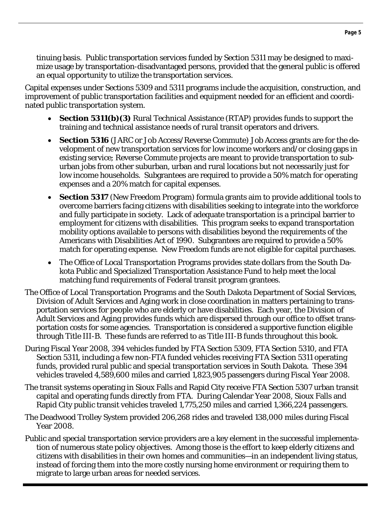tinuing basis. Public transportation services funded by Section 5311 may be designed to maximize usage by transportation-disadvantaged persons, provided that the general public is offered an equal opportunity to utilize the transportation services.

Capital expenses under Sections 5309 and 5311 programs include the acquisition, construction, and improvement of public transportation facilities and equipment needed for an efficient and coordinated public transportation system.

- **Section 5311(b)(3)** Rural Technical Assistance (RTAP) provides funds to support the training and technical assistance needs of rural transit operators and drivers.
- **Section 5316** (JARC or Job Access/Reverse Commute) Job Access grants are for the development of new transportation services for low income workers and/or closing gaps in existing service; Reverse Commute projects are meant to provide transportation to suburban jobs from other suburban, urban and rural locations but not necessarily just for low income households. Subgrantees are required to provide a 50% match for operating expenses and a 20% match for capital expenses.
- **Section 5317** (New Freedom Program) formula grants aim to provide additional tools to overcome barriers facing citizens with disabilities seeking to integrate into the workforce and fully participate in society. Lack of adequate transportation is a principal barrier to employment for citizens with disabilities. This program seeks to expand transportation mobility options available to persons with disabilities beyond the requirements of the Americans with Disabilities Act of 1990. Subgrantees are required to provide a 50% match for operating expense. New Freedom funds are not eligible for capital purchases.
- The Office of Local Transportation Programs provides state dollars from the South Dakota Public and Specialized Transportation Assistance Fund to help meet the local matching fund requirements of Federal transit program grantees.
- The Office of Local Transportation Programs and the South Dakota Department of Social Services, Division of Adult Services and Aging work in close coordination in matters pertaining to transportation services for people who are elderly or have disabilities. Each year, the Division of Adult Services and Aging provides funds which are dispersed through our office to offset transportation costs for some agencies. Transportation is considered a supportive function eligible through Title III-B. These funds are referred to as Title III-B funds throughout this book.
- During Fiscal Year 2008, 394 vehicles funded by FTA Section 5309, FTA Section 5310, and FTA Section 5311, including a few non-FTA funded vehicles receiving FTA Section 5311 operating funds, provided rural public and special transportation services in South Dakota. These 394 vehicles traveled 4,589,600 miles and carried 1,823,905 passengers during Fiscal Year 2008.
- The transit systems operating in Sioux Falls and Rapid City receive FTA Section 5307 urban transit capital and operating funds directly from FTA. During Calendar Year 2008, Sioux Falls and Rapid City public transit vehicles traveled 1,775,250 miles and carried 1,366,224 passengers.
- The Deadwood Trolley System provided 206,268 rides and traveled 138,000 miles during Fiscal Year 2008.
- Public and special transportation service providers are a key element in the successful implementation of numerous state policy objectives. Among those is the effort to keep elderly citizens and citizens with disabilities in their own homes and communities—in an independent living status, instead of forcing them into the more costly nursing home environment or requiring them to migrate to large urban areas for needed services.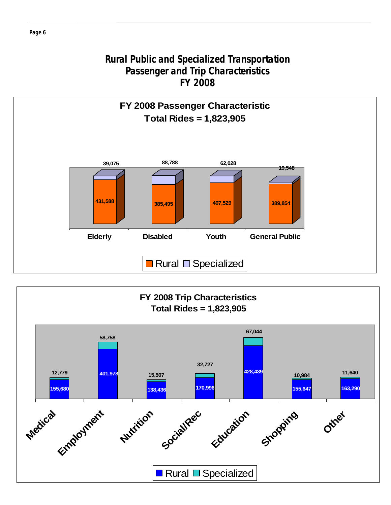## **Rural Public and Specialized Transportation Passenger and Trip Characteristics FY 2008**



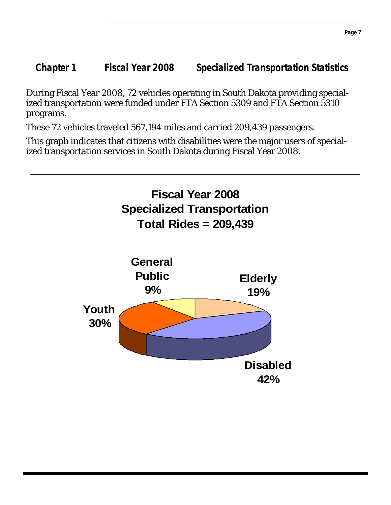**Chapter 1 Fiscal Year 2008 Specialized Transportation Statistics** 

During Fiscal Year 2008, 72 vehicles operating in South Dakota providing specialized transportation were funded under FTA Section 5309 and FTA Section 5310 programs.

These 72 vehicles traveled 567,194 miles and carried 209,439 passengers.

This graph indicates that citizens with disabilities were the major users of specialized transportation services in South Dakota during Fiscal Year 2008.

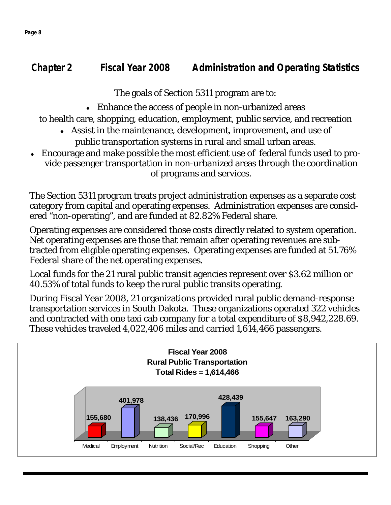## **Chapter 2 Fiscal Year 2008 Administration and Operating Statistics**

The goals of Section 5311 program are to:

 $\bullet$  Enhance the access of people in non-urbanized areas

to health care, shopping, education, employment, public service, and recreation

- ♦ Assist in the maintenance, development, improvement, and use of public transportation systems in rural and small urban areas.
- Encourage and make possible the most efficient use of federal funds used to provide passenger transportation in non-urbanized areas through the coordination of programs and services.

The Section 5311 program treats project administration expenses as a separate cost category from capital and operating expenses. Administration expenses are considered "non-operating", and are funded at 82.82% Federal share.

Operating expenses are considered those costs directly related to system operation. Net operating expenses are those that remain after operating revenues are subtracted from eligible operating expenses. Operating expenses are funded at 51.76% Federal share of the net operating expenses.

Local funds for the 21 rural public transit agencies represent over \$3.62 million or 40.53% of total funds to keep the rural public transits operating.

During Fiscal Year 2008, 21 organizations provided rural public demand-response transportation services in South Dakota. These organizations operated 322 vehicles and contracted with one taxi cab company for a total expenditure of \$8,942,228.69. These vehicles traveled 4,022,406 miles and carried 1,614,466 passengers.



**Page 8**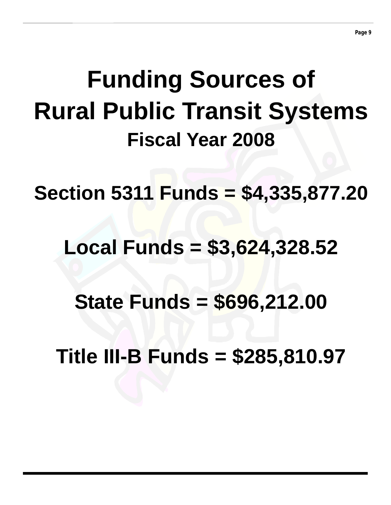# **Funding Sources of Rural Public Transit Systems Fiscal Year 2008**

**Section 5311 Funds = \$4,335,877.20** 

## **Local Funds = \$3,624,328.52**

**State Funds = \$696,212.00** 

**Title III-B Funds = \$285,810.97**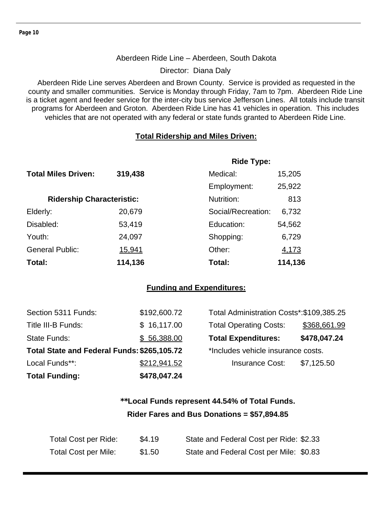#### Aberdeen Ride Line – Aberdeen, South Dakota

Director: Diana Daly

Aberdeen Ride Line serves Aberdeen and Brown County. Service is provided as requested in the county and smaller communities. Service is Monday through Friday, 7am to 7pm. Aberdeen Ride Line is a ticket agent and feeder service for the inter-city bus service Jefferson Lines. All totals include transit programs for Aberdeen and Groton. Aberdeen Ride Line has 41 vehicles in operation. This includes vehicles that are not operated with any federal or state funds granted to Aberdeen Ride Line.

#### **Total Ridership and Miles Driven:**

|                                  |         | <b>Ride Type:</b>  |         |
|----------------------------------|---------|--------------------|---------|
| <b>Total Miles Driven:</b>       | 319,438 | Medical:           | 15,205  |
|                                  |         | Employment:        | 25,922  |
| <b>Ridership Characteristic:</b> |         | Nutrition:         | 813     |
| Elderly:                         | 20,679  | Social/Recreation: | 6,732   |
| Disabled:                        | 53,419  | Education:         | 54,562  |
| Youth:                           | 24,097  | Shopping:          | 6,729   |
| <b>General Public:</b>           | 15,941  | Other:             | 4,173   |
| Total:                           | 114,136 | Total:             | 114,136 |

#### **Funding and Expenditures:**

| Section 5311 Funds:                         | \$192,600.72 | Total Administration Costs*: \$109,385.25 |              |
|---------------------------------------------|--------------|-------------------------------------------|--------------|
| Title III-B Funds:                          | \$16,117.00  | <b>Total Operating Costs:</b>             | \$368,661.99 |
| State Funds:                                | \$56,388.00  | <b>Total Expenditures:</b>                | \$478,047.24 |
| Total State and Federal Funds: \$265,105.72 |              | *Includes vehicle insurance costs.        |              |
| Local Funds**:                              | \$212,941.52 | <b>Insurance Cost:</b>                    | \$7,125.50   |
| <b>Total Funding:</b>                       | \$478,047.24 |                                           |              |

## **\*\*Local Funds represent 44.54% of Total Funds. Rider Fares and Bus Donations = \$57,894.85**

| Total Cost per Ride:        | \$4.19 | State and Federal Cost per Ride: \$2.33 |
|-----------------------------|--------|-----------------------------------------|
| <b>Total Cost per Mile:</b> | \$1.50 | State and Federal Cost per Mile: \$0.83 |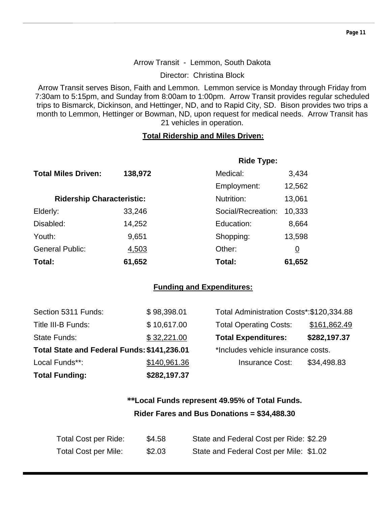#### Arrow Transit - Lemmon, South Dakota

Director: Christina Block

Arrow Transit serves Bison, Faith and Lemmon. Lemmon service is Monday through Friday from 7:30am to 5:15pm, and Sunday from 8:00am to 1:00pm. Arrow Transit provides regular scheduled trips to Bismarck, Dickinson, and Hettinger, ND, and to Rapid City, SD. Bison provides two trips a month to Lemmon, Hettinger or Bowman, ND, upon request for medical needs. Arrow Transit has 21 vehicles in operation.

#### **Total Ridership and Miles Driven:**

|                                  |         | <b>Ride Type:</b>  |          |
|----------------------------------|---------|--------------------|----------|
| <b>Total Miles Driven:</b>       | 138,972 | Medical:           | 3,434    |
|                                  |         | Employment:        | 12,562   |
| <b>Ridership Characteristic:</b> |         | Nutrition:         | 13,061   |
| Elderly:                         | 33,246  | Social/Recreation: | 10,333   |
| Disabled:                        | 14,252  | Education:         | 8,664    |
| Youth:                           | 9,651   | Shopping:          | 13,598   |
| <b>General Public:</b>           | 4,503   | Other:             | <u>0</u> |
| Total:                           | 61,652  | Total:             | 61,652   |

#### **Funding and Expenditures:**

| <b>Total Funding:</b>                       | \$282,197.37 |                                           |              |
|---------------------------------------------|--------------|-------------------------------------------|--------------|
| Local Funds**:                              | \$140,961.36 | <b>Insurance Cost:</b>                    | \$34,498.83  |
| Total State and Federal Funds: \$141,236.01 |              | *Includes vehicle insurance costs.        |              |
| State Funds:                                | \$32,221.00  | <b>Total Expenditures:</b>                | \$282,197.37 |
| Title III-B Funds:                          | \$10,617.00  | <b>Total Operating Costs:</b>             | \$161,862.49 |
| Section 5311 Funds:                         | \$98,398.01  | Total Administration Costs*: \$120,334.88 |              |

## **\*\*Local Funds represent 49.95% of Total Funds. Rider Fares and Bus Donations = \$34,488.30**

| Total Cost per Ride:        | \$4.58 | State and Federal Cost per Ride: \$2.29 |
|-----------------------------|--------|-----------------------------------------|
| <b>Total Cost per Mile:</b> | \$2.03 | State and Federal Cost per Mile: \$1.02 |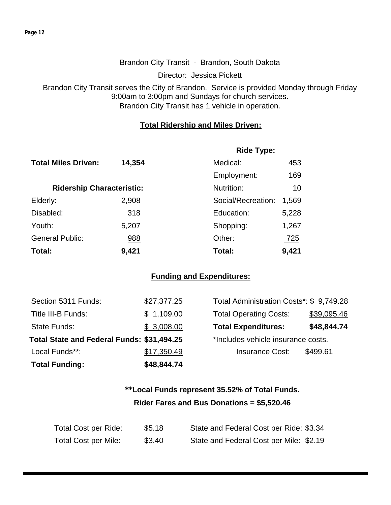#### Brandon City Transit - Brandon, South Dakota

Director: Jessica Pickett

Brandon City Transit serves the City of Brandon. Service is provided Monday through Friday 9:00am to 3:00pm and Sundays for church services. Brandon City Transit has 1 vehicle in operation.

#### **Total Ridership and Miles Driven:**

|                                  |        | <b>Ride Type:</b>  |            |  |
|----------------------------------|--------|--------------------|------------|--|
| <b>Total Miles Driven:</b>       | 14,354 | Medical:           | 453        |  |
|                                  |        | Employment:        | 169        |  |
| <b>Ridership Characteristic:</b> |        | Nutrition:         | 10         |  |
| Elderly:                         | 2,908  | Social/Recreation: | 1,569      |  |
| Disabled:                        | 318    | Education:         | 5,228      |  |
| Youth:                           | 5,207  | Shopping:          | 1,267      |  |
| <b>General Public:</b>           | 988    | Other:             | <u>725</u> |  |
| Total:                           | 9,421  | Total:             | 9,421      |  |

#### **Funding and Expenditures:**

| <b>Total Funding:</b>                      | \$48,844.74 |                                         |             |
|--------------------------------------------|-------------|-----------------------------------------|-------------|
| Local Funds**:                             | \$17,350.49 | <b>Insurance Cost:</b>                  | \$499.61    |
| Total State and Federal Funds: \$31,494.25 |             | *Includes vehicle insurance costs.      |             |
| State Funds:                               | \$3,008.00  | <b>Total Expenditures:</b>              | \$48,844.74 |
| Title III-B Funds:                         | \$1,109.00  | <b>Total Operating Costs:</b>           | \$39,095.46 |
| Section 5311 Funds:                        | \$27,377.25 | Total Administration Costs*: \$9,749.28 |             |

## **\*\*Local Funds represent 35.52% of Total Funds. Rider Fares and Bus Donations = \$5,520.46**

| Total Cost per Ride:        | \$5.18 | State and Federal Cost per Ride: \$3.34 |
|-----------------------------|--------|-----------------------------------------|
| <b>Total Cost per Mile:</b> | \$3.40 | State and Federal Cost per Mile: \$2.19 |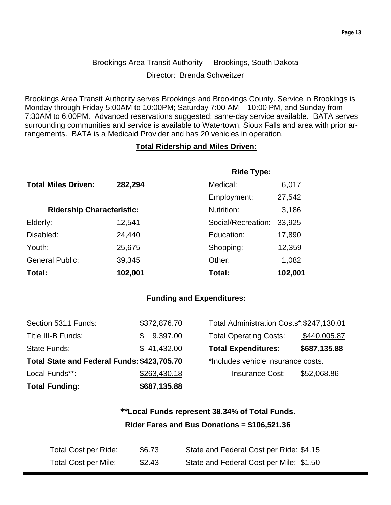## Brookings Area Transit Authority - Brookings, South Dakota Director: Brenda Schweitzer

Brookings Area Transit Authority serves Brookings and Brookings County. Service in Brookings is Monday through Friday 5:00AM to 10:00PM; Saturday 7:00 AM – 10:00 PM, and Sunday from 7:30AM to 6:00PM. Advanced reservations suggested; same-day service available. BATA serves surrounding communities and service is available to Watertown, Sioux Falls and area with prior arrangements. BATA is a Medicaid Provider and has 20 vehicles in operation.

#### **Total Ridership and Miles Driven:**

|                                  |         | <b>Ride Type:</b>  |         |
|----------------------------------|---------|--------------------|---------|
| <b>Total Miles Driven:</b>       | 282,294 | Medical:           | 6,017   |
|                                  |         | Employment:        | 27,542  |
| <b>Ridership Characteristic:</b> |         | Nutrition:         | 3,186   |
| Elderly:                         | 12,541  | Social/Recreation: | 33,925  |
| Disabled:                        | 24,440  | Education:         | 17,890  |
| Youth:                           | 25,675  | Shopping:          | 12,359  |
| <b>General Public:</b>           | 39,345  | Other:             | 1,082   |
| Total:                           | 102,001 | Total:             | 102,001 |

#### **Funding and Expenditures:**

| <b>Total Funding:</b>                       | \$687,135.88    |                                           |              |
|---------------------------------------------|-----------------|-------------------------------------------|--------------|
| Local Funds**:                              | \$263,430.18    | <b>Insurance Cost:</b>                    | \$52,068.86  |
| Total State and Federal Funds: \$423,705.70 |                 | *Includes vehicle insurance costs.        |              |
| State Funds:                                | \$41,432.00     | <b>Total Expenditures:</b>                | \$687,135.88 |
| Title III-B Funds:                          | 9,397.00<br>\$. | <b>Total Operating Costs:</b>             | \$440,005.87 |
| Section 5311 Funds:                         | \$372,876.70    | Total Administration Costs*: \$247,130.01 |              |

## **\*\*Local Funds represent 38.34% of Total Funds. Rider Fares and Bus Donations = \$106,521.36**

| Total Cost per Ride:        | \$6.73 | State and Federal Cost per Ride: \$4.15 |
|-----------------------------|--------|-----------------------------------------|
| <b>Total Cost per Mile:</b> | \$2.43 | State and Federal Cost per Mile: \$1.50 |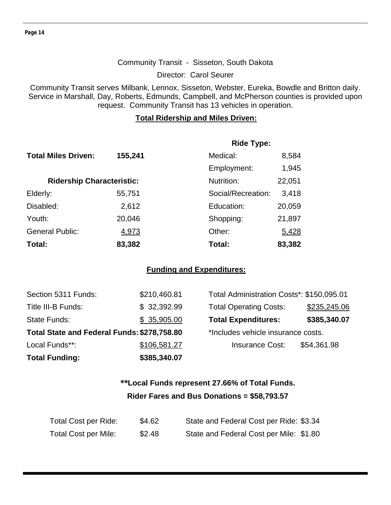**Page 14** 

#### Community Transit - Sisseton, South Dakota

Director: Carol Seurer

Community Transit serves Milbank, Lennox, Sisseton, Webster, Eureka, Bowdle and Britton daily. Service in Marshall, Day, Roberts, Edmunds, Campbell, and McPherson counties is provided upon request. Community Transit has 13 vehicles in operation.

#### **Total Ridership and Miles Driven:**

|                                  |         | <b>Ride Type:</b>  |        |
|----------------------------------|---------|--------------------|--------|
| <b>Total Miles Driven:</b>       | 155,241 | Medical:           | 8,584  |
|                                  |         | Employment:        | 1,945  |
| <b>Ridership Characteristic:</b> |         | Nutrition:         | 22,051 |
| Elderly:                         | 55,751  | Social/Recreation: | 3,418  |
| Disabled:                        | 2,612   | Education:         | 20,059 |
| Youth:                           | 20,046  | Shopping:          | 21,897 |
| <b>General Public:</b>           | 4,973   | Other:             | 5,428  |
| Total:                           | 83,382  | Total:             | 83,382 |

#### **Funding and Expenditures:**

| <b>Total Funding:</b>                       | \$385,340.07 |                                           |              |
|---------------------------------------------|--------------|-------------------------------------------|--------------|
| Local Funds**:                              | \$106,581.27 | <b>Insurance Cost:</b>                    | \$54,361.98  |
| Total State and Federal Funds: \$278,758.80 |              | *Includes vehicle insurance costs.        |              |
| <b>State Funds:</b>                         | \$35,905.00  | <b>Total Expenditures:</b>                | \$385,340.07 |
| Title III-B Funds:                          | \$32,392.99  | <b>Total Operating Costs:</b>             | \$235,245.06 |
| Section 5311 Funds:                         | \$210,460.81 | Total Administration Costs*: \$150,095.01 |              |

| Total Administration Costs*: \$150,095.01 |              |
|-------------------------------------------|--------------|
| <b>Total Operating Costs:</b>             | \$235,245.06 |
| <b>Total Expenditures:</b>                | \$385,340.07 |
| *Includes vehicle insurance costs.        |              |
| <b>Insurance Cost:</b>                    | \$54,361.98  |
|                                           |              |

## **\*\*Local Funds represent 27.66% of Total Funds. Rider Fares and Bus Donations = \$58,793.57**

| Total Cost per Ride:        | \$4.62 | State and Federal Cost per Ride: \$3.34 |
|-----------------------------|--------|-----------------------------------------|
| <b>Total Cost per Mile:</b> | \$2.48 | State and Federal Cost per Mile: \$1.80 |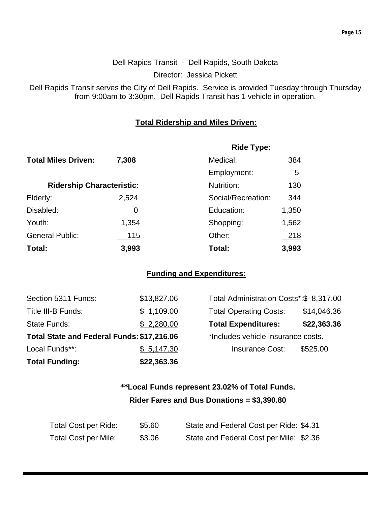#### Dell Rapids Transit - Dell Rapids, South Dakota

Director: Jessica Pickett

Dell Rapids Transit serves the City of Dell Rapids. Service is provided Tuesday through Thursday from 9:00am to 3:30pm. Dell Rapids Transit has 1 vehicle in operation.

#### **Total Ridership and Miles Driven:**

|                                  |       | <b>Ride Type:</b>  |       |
|----------------------------------|-------|--------------------|-------|
| <b>Total Miles Driven:</b>       | 7,308 | Medical:           | 384   |
|                                  |       | Employment:        | 5     |
| <b>Ridership Characteristic:</b> |       | Nutrition:         | 130   |
| Elderly:                         | 2,524 | Social/Recreation: | 344   |
| Disabled:                        | 0     | Education:         | 1,350 |
| Youth:                           | 1,354 | Shopping:          | 1,562 |
| <b>General Public:</b>           | 115   | Other:             | 218   |
| Total:                           | 3,993 | Total:             | 3,993 |

#### **Funding and Expenditures:**

| <b>Total Funding:</b>                      | \$22,363.36 |                                         |             |
|--------------------------------------------|-------------|-----------------------------------------|-------------|
| Local Funds**:                             | \$5,147.30  | <b>Insurance Cost:</b>                  | \$525.00    |
| Total State and Federal Funds: \$17,216.06 |             | *Includes vehicle insurance costs.      |             |
| <b>State Funds:</b>                        | \$2,280.00  | <b>Total Expenditures:</b>              | \$22,363.36 |
| Title III-B Funds:                         | \$1,109.00  | <b>Total Operating Costs:</b>           | \$14,046.36 |
| Section 5311 Funds:                        | \$13,827.06 | Total Administration Costs*:\$ 8,317.00 |             |

| Total Administration Costs*: \$8,317.00 |             |
|-----------------------------------------|-------------|
| <b>Total Operating Costs:</b>           | \$14,046.36 |
| <b>Total Expenditures:</b>              | \$22,363.36 |
| *Includes vehicle insurance costs.      |             |
| <b>Insurance Cost:</b>                  | \$525.00    |
|                                         |             |

## **\*\*Local Funds represent 23.02% of Total Funds. Rider Fares and Bus Donations = \$3,390.80**

| Total Cost per Ride:        | \$5.60 | State and Federal Cost per Ride: \$4.31 |
|-----------------------------|--------|-----------------------------------------|
| <b>Total Cost per Mile:</b> | \$3.06 | State and Federal Cost per Mile: \$2.36 |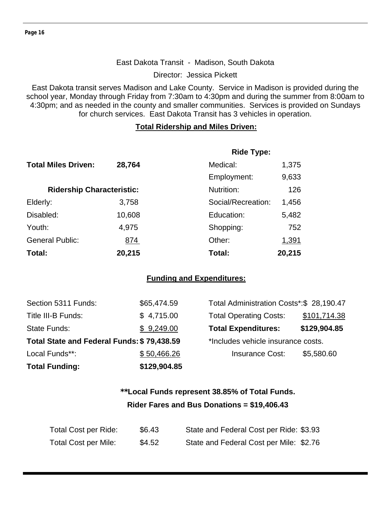#### East Dakota Transit - Madison, South Dakota

Director: Jessica Pickett

East Dakota transit serves Madison and Lake County. Service in Madison is provided during the school year, Monday through Friday from 7:30am to 4:30pm and during the summer from 8:00am to 4:30pm; and as needed in the county and smaller communities. Services is provided on Sundays for church services. East Dakota Transit has 3 vehicles in operation.

#### **Total Ridership and Miles Driven:**

|                                  |        | <b>Ride Type:</b>  |       |
|----------------------------------|--------|--------------------|-------|
| <b>Total Miles Driven:</b>       | 28,764 | Medical:           | 1,375 |
|                                  |        | Employment:        | 9,633 |
| <b>Ridership Characteristic:</b> |        | Nutrition:         | 126   |
| Elderly:                         | 3,758  | Social/Recreation: | 1,456 |
| Disabled:                        | 10,608 | Education:         | 5,482 |
| Youth:                           | 4,975  | Shopping:          | 752   |
| <b>General Public:</b>           | 874    | Other:             | 1,391 |
| Total:                           | 20,215 | 20,215<br>Total:   |       |

#### **Funding and Expenditures:**

| <b>Total Funding:</b>                      | \$129,904.85 |                                          |              |
|--------------------------------------------|--------------|------------------------------------------|--------------|
| Local Funds**:                             | \$50,466.26  | <b>Insurance Cost:</b>                   | \$5,580.60   |
| Total State and Federal Funds: \$79,438.59 |              | *Includes vehicle insurance costs.       |              |
| State Funds:                               | \$9,249.00   | <b>Total Expenditures:</b>               | \$129,904.85 |
| Title III-B Funds:                         | \$4,715.00   | <b>Total Operating Costs:</b>            | \$101,714.38 |
| Section 5311 Funds:                        | \$65,474.59  | Total Administration Costs*: \$28,190.47 |              |

| Total Administration Costs*:\$ 28,190.47 |              |
|------------------------------------------|--------------|
| <b>Total Operating Costs:</b>            | \$101,714.38 |
| <b>Total Expenditures:</b>               | \$129,904.85 |
| *Includes vehicle insurance costs.       |              |
| <b>Insurance Cost:</b>                   | \$5,580.60   |
|                                          |              |

## **\*\*Local Funds represent 38.85% of Total Funds. Rider Fares and Bus Donations = \$19,406.43**

| <b>Total Cost per Ride:</b> | \$6.43 | State and Federal Cost per Ride: \$3.93 |
|-----------------------------|--------|-----------------------------------------|
| <b>Total Cost per Mile:</b> | \$4.52 | State and Federal Cost per Mile: \$2.76 |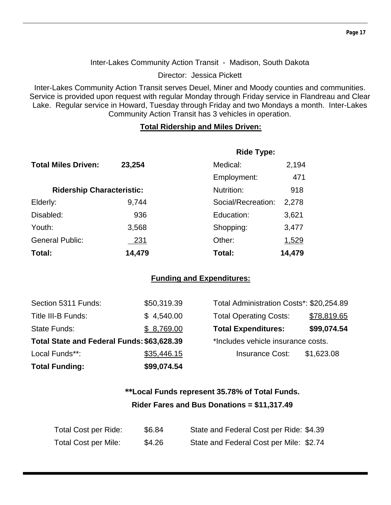#### Inter-Lakes Community Action Transit - Madison, South Dakota

Director: Jessica Pickett

Inter-Lakes Community Action Transit serves Deuel, Miner and Moody counties and communities. Service is provided upon request with regular Monday through Friday service in Flandreau and Clear Lake. Regular service in Howard, Tuesday through Friday and two Mondays a month. Inter-Lakes Community Action Transit has 3 vehicles in operation.

#### **Total Ridership and Miles Driven:**

|                                  |            | <b>Ride Type:</b>  |        |  |
|----------------------------------|------------|--------------------|--------|--|
| <b>Total Miles Driven:</b>       | 23,254     | Medical:           | 2,194  |  |
|                                  |            | Employment:        | 471    |  |
| <b>Ridership Characteristic:</b> |            | Nutrition:         | 918    |  |
| Elderly:                         | 9,744      | Social/Recreation: | 2,278  |  |
| Disabled:                        | 936        | Education:         | 3,621  |  |
| Youth:                           | 3,568      | Shopping:          | 3,477  |  |
| <b>General Public:</b>           | <u>231</u> | Other:             | 1,529  |  |
| Total:                           | 14,479     | Total:             | 14,479 |  |

#### **Funding and Expenditures:**

| <b>Total Funding:</b>                      | \$99,074.54 |                                          |             |
|--------------------------------------------|-------------|------------------------------------------|-------------|
| Local Funds**:                             | \$35,446.15 | <b>Insurance Cost:</b>                   | \$1,623.08  |
| Total State and Federal Funds: \$63,628.39 |             | *Includes vehicle insurance costs.       |             |
| State Funds:                               | \$8,769.00  | <b>Total Expenditures:</b>               | \$99,074.54 |
| Title III-B Funds:                         | \$4,540.00  | <b>Total Operating Costs:</b>            | \$78,819.65 |
| Section 5311 Funds:                        | \$50,319.39 | Total Administration Costs*: \$20,254.89 |             |

## **\*\*Local Funds represent 35.78% of Total Funds. Rider Fares and Bus Donations = \$11,317.49**

| Total Cost per Ride:        | \$6.84 | State and Federal Cost per Ride: \$4.39 |
|-----------------------------|--------|-----------------------------------------|
| <b>Total Cost per Mile:</b> | \$4.26 | State and Federal Cost per Mile: \$2.74 |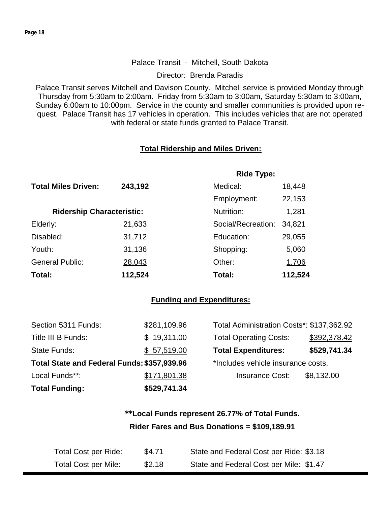#### Palace Transit - Mitchell, South Dakota

Director: Brenda Paradis

Palace Transit serves Mitchell and Davison County. Mitchell service is provided Monday through Thursday from 5:30am to 2:00am. Friday from 5:30am to 3:00am, Saturday 5:30am to 3:00am, Sunday 6:00am to 10:00pm. Service in the county and smaller communities is provided upon request. Palace Transit has 17 vehicles in operation. This includes vehicles that are not operated with federal or state funds granted to Palace Transit.

#### **Total Ridership and Miles Driven:**

|                                  |         | <b>Ride Type:</b>  | 18,448  |  |
|----------------------------------|---------|--------------------|---------|--|
| <b>Total Miles Driven:</b>       | 243,192 | Medical:           |         |  |
|                                  |         | Employment:        | 22,153  |  |
| <b>Ridership Characteristic:</b> |         | Nutrition:         | 1,281   |  |
| Elderly:                         | 21,633  | Social/Recreation: | 34,821  |  |
| Disabled:                        | 31,712  | Education:         | 29,055  |  |
| Youth:                           | 31,136  | Shopping:          | 5,060   |  |
| <b>General Public:</b>           | 28,043  | Other:             | 1,706   |  |
| Total:                           | 112,524 | Total:             | 112,524 |  |

#### **Funding and Expenditures:**

| Section 5311 Funds:                         | \$281,109.96 | Total Administration Costs*: \$137,362.92 |              |
|---------------------------------------------|--------------|-------------------------------------------|--------------|
| Title III-B Funds:                          | \$19,311.00  | <b>Total Operating Costs:</b>             | \$392,378.42 |
| State Funds:                                | \$57,519.00  | <b>Total Expenditures:</b>                | \$529,741.34 |
| Total State and Federal Funds: \$357,939.96 |              | *Includes vehicle insurance costs.        |              |
| Local Funds**:                              | \$171,801.38 | <b>Insurance Cost:</b>                    | \$8,132.00   |
| <b>Total Funding:</b>                       | \$529,741.34 |                                           |              |

## **\*\*Local Funds represent 26.77% of Total Funds. Rider Fares and Bus Donations = \$109,189.91**

| Total Cost per Ride:        | \$4.71 | State and Federal Cost per Ride: \$3.18 |
|-----------------------------|--------|-----------------------------------------|
| <b>Total Cost per Mile:</b> | \$2.18 | State and Federal Cost per Mile: \$1.47 |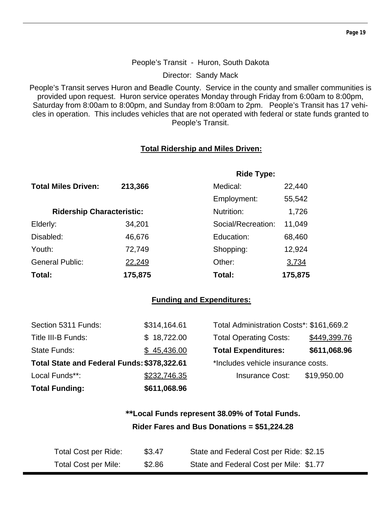#### People's Transit - Huron, South Dakota

Director: Sandy Mack

People's Transit serves Huron and Beadle County. Service in the county and smaller communities is provided upon request. Huron service operates Monday through Friday from 6:00am to 8:00pm, Saturday from 8:00am to 8:00pm, and Sunday from 8:00am to 2pm. People's Transit has 17 vehicles in operation. This includes vehicles that are not operated with federal or state funds granted to People's Transit.

#### **Total Ridership and Miles Driven:**

|                                  |         | <b>Ride Type:</b>  |         |
|----------------------------------|---------|--------------------|---------|
| <b>Total Miles Driven:</b>       | 213,366 | Medical:           | 22,440  |
|                                  |         | Employment:        | 55,542  |
| <b>Ridership Characteristic:</b> |         | Nutrition:         | 1,726   |
| Elderly:                         | 34,201  | Social/Recreation: | 11,049  |
| Disabled:                        | 46,676  | Education:         | 68,460  |
| Youth:                           | 72,749  | Shopping:          | 12,924  |
| <b>General Public:</b>           | 22,249  | Other:             | 3,734   |
| Total:                           | 175,875 | Total:             | 175,875 |

#### **Funding and Expenditures:**

| Section 5311 Funds:                         | \$314,164.61 | Total Administration Costs*: \$161,669.2 |              |
|---------------------------------------------|--------------|------------------------------------------|--------------|
| Title III-B Funds:                          | \$18,722.00  | <b>Total Operating Costs:</b>            | \$449,399.76 |
| State Funds:                                | \$45,436.00  | <b>Total Expenditures:</b>               | \$611,068.96 |
| Total State and Federal Funds: \$378,322.61 |              | *Includes vehicle insurance costs.       |              |
| Local Funds**:                              | \$232,746.35 | <b>Insurance Cost:</b>                   | \$19,950.00  |
| <b>Total Funding:</b>                       | \$611,068.96 |                                          |              |

## **\*\*Local Funds represent 38.09% of Total Funds. Rider Fares and Bus Donations = \$51,224.28**

| Total Cost per Ride:        | \$3.47 | State and Federal Cost per Ride: \$2.15 |
|-----------------------------|--------|-----------------------------------------|
| <b>Total Cost per Mile:</b> | \$2.86 | State and Federal Cost per Mile: \$1.77 |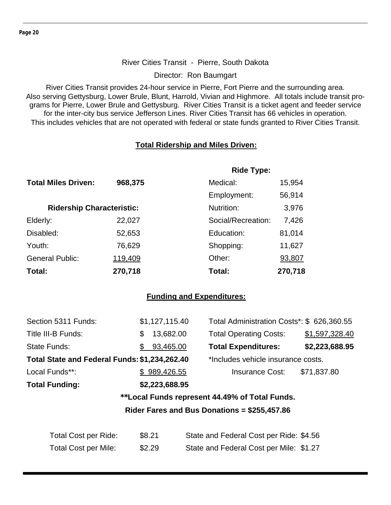#### River Cities Transit - Pierre, South Dakota

Director: Ron Baumgart

River Cities Transit provides 24-hour service in Pierre, Fort Pierre and the surrounding area. Also serving Gettysburg, Lower Brule, Blunt, Harrold, Vivian and Highmore. All totals include transit programs for Pierre, Lower Brule and Gettysburg. River Cities Transit is a ticket agent and feeder service for the inter-city bus service Jefferson Lines. River Cities Transit has 66 vehicles in operation. This includes vehicles that are not operated with federal or state funds granted to River Cities Transit.

#### **Total Ridership and Miles Driven:**

|                                  |         | <b>Ride Type:</b>  |         |
|----------------------------------|---------|--------------------|---------|
| <b>Total Miles Driven:</b>       | 968,375 | Medical:           | 15,954  |
|                                  |         | Employment:        | 56,914  |
| <b>Ridership Characteristic:</b> |         | Nutrition:         | 3,976   |
| Elderly:                         | 22,027  | Social/Recreation: | 7,426   |
| Disabled:                        | 52,653  | Education:         | 81,014  |
| Youth:                           | 76,629  | Shopping:          | 11,627  |
| <b>General Public:</b>           | 119,409 | Other:             | 93,807  |
| Total:                           | 270,718 | Total:             | 270,718 |

#### **Funding and Expenditures:**

| Section 5311 Funds:                           | \$1,127,115.40  | Total Administration Costs*: \$ 626,360.55     |                |
|-----------------------------------------------|-----------------|------------------------------------------------|----------------|
| Title III-B Funds:                            | 13,682.00<br>\$ | <b>Total Operating Costs:</b>                  | \$1,597,328.40 |
| State Funds:                                  | 93,465.00<br>\$ | <b>Total Expenditures:</b>                     | \$2,223,688.95 |
| Total State and Federal Funds: \$1,234,262.40 |                 | *Includes vehicle insurance costs.             |                |
| Local Funds**:                                | \$989,426.55    | <b>Insurance Cost:</b>                         | \$71,837.80    |
| <b>Total Funding:</b>                         | \$2,223,688.95  |                                                |                |
|                                               |                 | **Local Funds represent 44.49% of Total Funds. |                |
|                                               |                 | Rider Fares and Bus Donations = $$255,457.86$  |                |
|                                               |                 |                                                |                |
| <b>Total Cost per Ride:</b>                   | \$8.21          | State and Federal Cost per Ride: \$4.56        |                |
| <b>Total Cost per Mile:</b>                   | \$2.29          | State and Federal Cost per Mile: \$1.27        |                |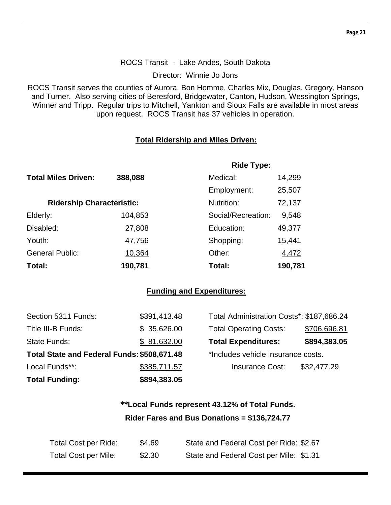#### ROCS Transit - Lake Andes, South Dakota

Director: Winnie Jo Jons

ROCS Transit serves the counties of Aurora, Bon Homme, Charles Mix, Douglas, Gregory, Hanson and Turner. Also serving cities of Beresford, Bridgewater, Canton, Hudson, Wessington Springs, Winner and Tripp. Regular trips to Mitchell, Yankton and Sioux Falls are available in most areas upon request. ROCS Transit has 37 vehicles in operation.

#### **Total Ridership and Miles Driven:**

|                                  |         | <b>Ride Type:</b>  |         |  |
|----------------------------------|---------|--------------------|---------|--|
| <b>Total Miles Driven:</b>       | 388,088 | Medical:           | 14,299  |  |
|                                  |         | Employment:        | 25,507  |  |
| <b>Ridership Characteristic:</b> |         | Nutrition:         | 72,137  |  |
| Elderly:                         | 104,853 | Social/Recreation: | 9,548   |  |
| Disabled:                        | 27,808  | Education:         | 49,377  |  |
| Youth:                           | 47,756  | Shopping:          | 15,441  |  |
| <b>General Public:</b>           | 10,364  | Other:             | 4,472   |  |
| Total:                           | 190,781 | Total:             | 190,781 |  |

#### **Funding and Expenditures:**

| <b>Total Funding:</b>                       | \$894,383.05 |                                           |              |
|---------------------------------------------|--------------|-------------------------------------------|--------------|
| Local Funds**:                              | \$385,711.57 | <b>Insurance Cost:</b>                    | \$32,477.29  |
| Total State and Federal Funds: \$508,671.48 |              | *Includes vehicle insurance costs.        |              |
| State Funds:                                | \$81,632.00  | <b>Total Expenditures:</b>                | \$894,383.05 |
| Title III-B Funds:                          | \$35,626.00  | <b>Total Operating Costs:</b>             | \$706,696.81 |
| Section 5311 Funds:                         | \$391,413.48 | Total Administration Costs*: \$187,686.24 |              |

## **\*\*Local Funds represent 43.12% of Total Funds. Rider Fares and Bus Donations = \$136,724.77**

| Total Cost per Ride:        | \$4.69 | State and Federal Cost per Ride: \$2.67 |
|-----------------------------|--------|-----------------------------------------|
| <b>Total Cost per Mile:</b> | \$2.30 | State and Federal Cost per Mile: \$1.31 |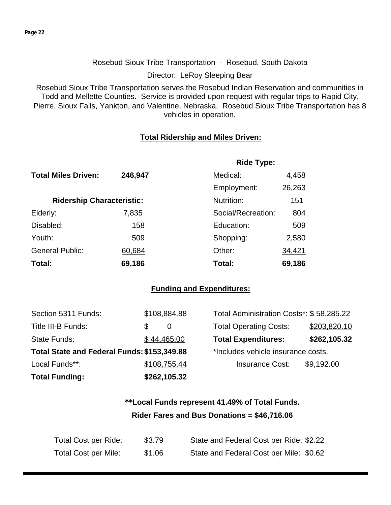#### Rosebud Sioux Tribe Transportation - Rosebud, South Dakota

Director: LeRoy Sleeping Bear

Rosebud Sioux Tribe Transportation serves the Rosebud Indian Reservation and communities in Todd and Mellette Counties. Service is provided upon request with regular trips to Rapid City, Pierre, Sioux Falls, Yankton, and Valentine, Nebraska. Rosebud Sioux Tribe Transportation has 8 vehicles in operation.

#### **Total Ridership and Miles Driven:**

|                                  |         | <b>Ride Type:</b>  |        |  |
|----------------------------------|---------|--------------------|--------|--|
| <b>Total Miles Driven:</b>       | 246,947 | Medical:           | 4,458  |  |
|                                  |         | Employment:        | 26,263 |  |
| <b>Ridership Characteristic:</b> |         | Nutrition:         | 151    |  |
| Elderly:                         | 7,835   | Social/Recreation: | 804    |  |
| Disabled:                        | 158     | Education:         | 509    |  |
| Youth:                           | 509     | Shopping:          | 2,580  |  |
| <b>General Public:</b>           | 60,684  | Other:             | 34,421 |  |
| Total:                           | 69,186  | Total:             | 69,186 |  |

#### **Funding and Expenditures:**

| Section 5311 Funds:                         |     | \$108,884.88 | Total Administration Costs*: \$58,285.22 |              |
|---------------------------------------------|-----|--------------|------------------------------------------|--------------|
| Title III-B Funds:                          | \$. | $\theta$     | <b>Total Operating Costs:</b>            | \$203,820.10 |
| State Funds:                                |     | \$44,465.00  | <b>Total Expenditures:</b>               | \$262,105.32 |
| Total State and Federal Funds: \$153,349.88 |     |              | *Includes vehicle insurance costs.       |              |
| Local Funds**:                              |     | \$108,755.44 | <b>Insurance Cost:</b>                   | \$9,192.00   |
| <b>Total Funding:</b>                       |     | \$262,105.32 |                                          |              |

## **\*\*Local Funds represent 41.49% of Total Funds. Rider Fares and Bus Donations = \$46,716.06**

| Total Cost per Ride:        | \$3.79 | State and Federal Cost per Ride: \$2.22 |
|-----------------------------|--------|-----------------------------------------|
| <b>Total Cost per Mile:</b> | \$1.06 | State and Federal Cost per Mile: \$0.62 |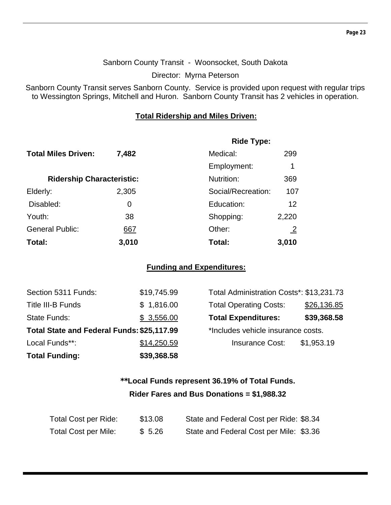#### Sanborn County Transit - Woonsocket, South Dakota

Director: Myrna Peterson

Sanborn County Transit serves Sanborn County. Service is provided upon request with regular trips to Wessington Springs, Mitchell and Huron. Sanborn County Transit has 2 vehicles in operation.

#### **Total Ridership and Miles Driven:**

|                                  |       | <b>Ride Type:</b>  |                |
|----------------------------------|-------|--------------------|----------------|
| <b>Total Miles Driven:</b>       | 7,482 | Medical:           | 299            |
|                                  |       | Employment:        | 1              |
| <b>Ridership Characteristic:</b> |       | Nutrition:         | 369            |
| Elderly:                         | 2,305 | Social/Recreation: | 107            |
| Disabled:                        | 0     | Education:         | 12             |
| Youth:                           | 38    | Shopping:          | 2,220          |
| <b>General Public:</b>           | 667   | Other:             | $\overline{2}$ |
| Total:                           | 3,010 | Total:             | 3,010          |

#### **Funding and Expenditures:**

| <b>Total Funding:</b>                      | \$39,368.58 |                                          |             |
|--------------------------------------------|-------------|------------------------------------------|-------------|
| Local Funds**:                             | \$14,250.59 | <b>Insurance Cost:</b>                   | \$1,953.19  |
| Total State and Federal Funds: \$25,117.99 |             | *Includes vehicle insurance costs.       |             |
| <b>State Funds:</b>                        | \$3,556.00  | <b>Total Expenditures:</b>               | \$39,368.58 |
| <b>Title III-B Funds</b>                   | \$1,816.00  | <b>Total Operating Costs:</b>            | \$26,136.85 |
| Section 5311 Funds:                        | \$19,745.99 | Total Administration Costs*: \$13,231.73 |             |

| Total Administration Costs*: \$13,231.73 |             |
|------------------------------------------|-------------|
| <b>Total Operating Costs:</b>            | \$26,136.85 |
| <b>Total Expenditures:</b>               | \$39,368.58 |
| *Includes vehicle insurance costs.       |             |
| <b>Insurance Cost:</b>                   | \$1,953.19  |
|                                          |             |

## **\*\*Local Funds represent 36.19% of Total Funds. Rider Fares and Bus Donations = \$1,988.32**

| Total Cost per Ride: | \$13.08 | State and Federal Cost per Ride: \$8.34 |
|----------------------|---------|-----------------------------------------|
| Total Cost per Mile: | \$5.26  | State and Federal Cost per Mile: \$3.36 |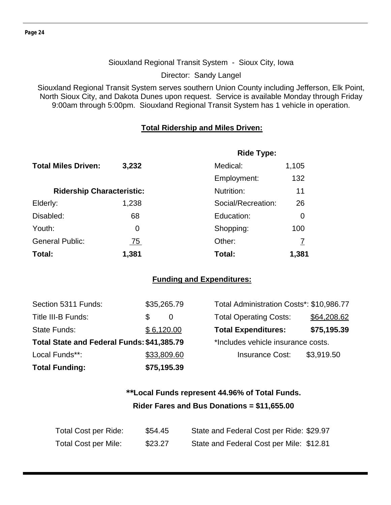#### Siouxland Regional Transit System - Sioux City, Iowa

Director: Sandy Langel

Siouxland Regional Transit System serves southern Union County including Jefferson, Elk Point, North Sioux City, and Dakota Dunes upon request. Service is available Monday through Friday 9:00am through 5:00pm. Siouxland Regional Transit System has 1 vehicle in operation.

#### **Total Ridership and Miles Driven:**

|                                  |            | <b>Ride Type:</b>  |       |
|----------------------------------|------------|--------------------|-------|
| <b>Total Miles Driven:</b>       | 3,232      | Medical:           | 1,105 |
|                                  |            | Employment:        | 132   |
| <b>Ridership Characteristic:</b> |            | Nutrition:         | 11    |
| Elderly:                         | 1,238      | Social/Recreation: | 26    |
| Disabled:                        | 68         | Education:         | 0     |
| Youth:                           | 0          | Shopping:          | 100   |
| <b>General Public:</b>           | <u>75 </u> | Other:             |       |
| Total:                           | 1,381      | Total:             | 1,381 |

#### **Funding and Expenditures:**

| Section 5311 Funds:                        | \$35,265.79 | Total Administration Costs*: \$10,986.77 |             |
|--------------------------------------------|-------------|------------------------------------------|-------------|
| Title III-B Funds:                         | \$.<br>0    | <b>Total Operating Costs:</b>            | \$64,208.62 |
| State Funds:                               | \$6,120.00  | <b>Total Expenditures:</b>               | \$75,195.39 |
| Total State and Federal Funds: \$41,385.79 |             | *Includes vehicle insurance costs.       |             |
| Local Funds**:                             | \$33,809.60 | <b>Insurance Cost:</b>                   | \$3,919.50  |
| <b>Total Funding:</b>                      | \$75,195.39 |                                          |             |

## **\*\*Local Funds represent 44.96% of Total Funds. Rider Fares and Bus Donations = \$11,655.00**

| <b>Total Cost per Ride:</b> | \$54.45 | State and Federal Cost per Ride: \$29.97 |
|-----------------------------|---------|------------------------------------------|
| <b>Total Cost per Mile:</b> | \$23.27 | State and Federal Cost per Mile: \$12.81 |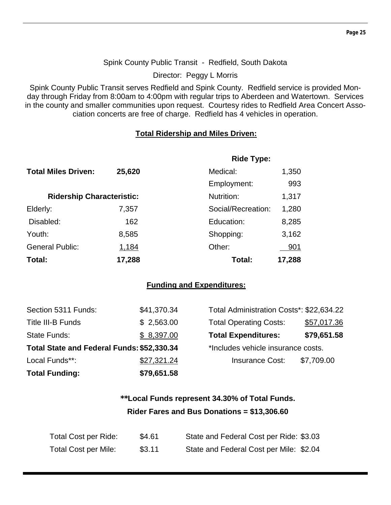#### Spink County Public Transit - Redfield, South Dakota

Director: Peggy L Morris

Spink County Public Transit serves Redfield and Spink County. Redfield service is provided Monday through Friday from 8:00am to 4:00pm with regular trips to Aberdeen and Watertown. Services in the county and smaller communities upon request. Courtesy rides to Redfield Area Concert Association concerts are free of charge. Redfield has 4 vehicles in operation.

#### **Total Ridership and Miles Driven:**

|                                  |              | <b>Ride Type:</b>  |            |
|----------------------------------|--------------|--------------------|------------|
| <b>Total Miles Driven:</b>       | 25,620       | Medical:           | 1,350      |
|                                  |              | Employment:        | 993        |
| <b>Ridership Characteristic:</b> |              | Nutrition:         | 1,317      |
| Elderly:                         | 7,357        | Social/Recreation: | 1,280      |
| Disabled:                        | 162          | Education:         | 8,285      |
| Youth:                           | 8,585        | Shopping:          | 3,162      |
| <b>General Public:</b>           | <u>1,184</u> | Other:             | <u>901</u> |
| Total:                           | 17,288       | Total:             | 17,288     |

#### **Funding and Expenditures:**

| Local Funds**:<br><b>Total Funding:</b>    | \$27,321.24<br>\$79,651.58 | <b>Insurance Cost:</b>                   | \$7,709.00  |
|--------------------------------------------|----------------------------|------------------------------------------|-------------|
| Total State and Federal Funds: \$52,330.34 |                            | *Includes vehicle insurance costs.       |             |
| State Funds:                               | \$8,397.00                 | <b>Total Expenditures:</b>               | \$79,651.58 |
| Title III-B Funds                          | \$2,563.00                 | <b>Total Operating Costs:</b>            | \$57,017.36 |
| Section 5311 Funds:                        | \$41,370.34                | Total Administration Costs*: \$22,634.22 |             |

| Total Administration Costs*: \$22,634.22 |             |  |  |  |
|------------------------------------------|-------------|--|--|--|
| <b>Total Operating Costs:</b>            | \$57,017.36 |  |  |  |
| <b>Total Expenditures:</b>               | \$79,651.58 |  |  |  |
| *Includes vehicle insurance costs.       |             |  |  |  |
| <b>Insurance Cost:</b>                   | \$7,709.00  |  |  |  |
|                                          |             |  |  |  |

## **\*\*Local Funds represent 34.30% of Total Funds. Rider Fares and Bus Donations = \$13,306.60**

| Total Cost per Ride:        | \$4.61 | State and Federal Cost per Ride: \$3.03 |
|-----------------------------|--------|-----------------------------------------|
| <b>Total Cost per Mile:</b> | \$3.11 | State and Federal Cost per Mile: \$2.04 |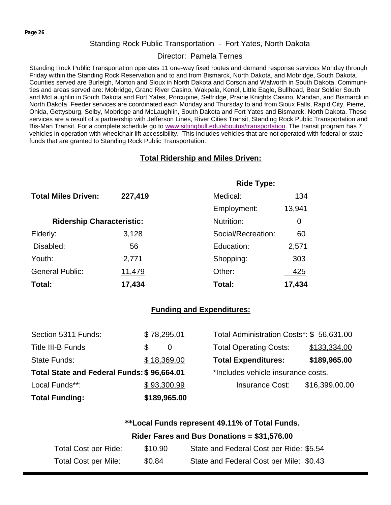#### Standing Rock Public Transportation - Fort Yates, North Dakota

#### Director: Pamela Ternes

Standing Rock Public Transportation operates 11 one-way fixed routes and demand response services Monday through Friday within the Standing Rock Reservation and to and from Bismarck, North Dakota, and Mobridge, South Dakota. Counties served are Burleigh, Morton and Sioux in North Dakota and Corson and Walworth in South Dakota. Communities and areas served are: Mobridge, Grand River Casino, Wakpala, Kenel, Little Eagle, Bullhead, Bear Soldier South and McLaughlin in South Dakota and Fort Yates, Porcupine, Selfridge, Prairie Knights Casino, Mandan, and Bismarck in North Dakota. Feeder services are coordinated each Monday and Thursday to and from Sioux Falls, Rapid City, Pierre, Onida, Gettysburg, Selby, Mobridge and McLaughlin, South Dakota and Fort Yates and Bismarck, North Dakota. These services are a result of a partnership with Jefferson Lines, River Cities Transit, Standing Rock Public Transportation and Bis-Man Transit. For a complete schedule go to www.sittingbull.edu/aboutus/transportation. The transit program has 7 vehicles in operation with wheelchair lift accessibility. This includes vehicles that are not operated with federal or state funds that are granted to Standing Rock Public Transportation.

#### **Total Ridership and Miles Driven:**

|                                  |         | <b>Ride Type:</b>  |        |
|----------------------------------|---------|--------------------|--------|
| <b>Total Miles Driven:</b>       | 227,419 | Medical:           | 134    |
|                                  |         | Employment:        | 13,941 |
| <b>Ridership Characteristic:</b> |         | Nutrition:         | 0      |
| Elderly:                         | 3,128   | Social/Recreation: | 60     |
| Disabled:                        | 56      | Education:         | 2,571  |
| Youth:                           | 2,771   | Shopping:          | 303    |
| <b>General Public:</b>           | 11,479  | Other:             | 425    |
| Total:                           | 17,434  | Total:             | 17,434 |

#### **Funding and Expenditures:**

| <b>Total Funding:</b>                      | \$189,965.00 |                                          |                |
|--------------------------------------------|--------------|------------------------------------------|----------------|
| Local Funds**:                             | \$93,300.99  | <b>Insurance Cost:</b>                   | \$16,399.00.00 |
| Total State and Federal Funds: \$96,664.01 |              | *Includes vehicle insurance costs.       |                |
| State Funds:                               | \$18,369.00  | <b>Total Expenditures:</b>               | \$189,965.00   |
| Title III-B Funds                          | \$<br>0      | <b>Total Operating Costs:</b>            | \$133,334.00   |
| Section 5311 Funds:                        | \$78,295.01  | Total Administration Costs*: \$56,631.00 |                |

#### **Rider Fares and Bus Donations = \$31,576.00**

| Total Cost per Ride: | \$10.90 | State and Federal Cost per Ride: \$5.54 |
|----------------------|---------|-----------------------------------------|
| Total Cost per Mile: | \$0.84  | State and Federal Cost per Mile: \$0.43 |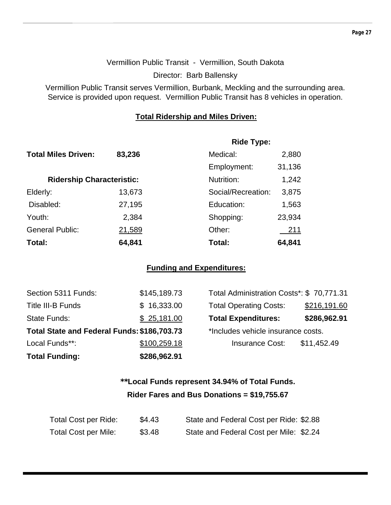#### Vermillion Public Transit - Vermillion, South Dakota

Director: Barb Ballensky

Vermillion Public Transit serves Vermillion, Burbank, Meckling and the surrounding area. Service is provided upon request. Vermillion Public Transit has 8 vehicles in operation.

#### **Total Ridership and Miles Driven:**

|                                  |        | <b>Ride Type:</b>  |        |
|----------------------------------|--------|--------------------|--------|
| <b>Total Miles Driven:</b>       | 83,236 | Medical:           | 2,880  |
|                                  |        | Employment:        | 31,136 |
| <b>Ridership Characteristic:</b> |        | Nutrition:         | 1,242  |
| Elderly:                         | 13,673 | Social/Recreation: | 3,875  |
| Disabled:                        | 27,195 | Education:         | 1,563  |
| Youth:                           | 2,384  | Shopping:          | 23,934 |
| <b>General Public:</b>           | 21,589 | Other:             | 211    |
| Total:                           | 64,841 | Total:             | 64,841 |

#### **Funding and Expenditures:**

| <b>Total Funding:</b>                       | \$286,962.91 |                                          |              |
|---------------------------------------------|--------------|------------------------------------------|--------------|
| Local Funds**:                              | \$100,259.18 | <b>Insurance Cost:</b>                   | \$11,452.49  |
| Total State and Federal Funds: \$186,703.73 |              | *Includes vehicle insurance costs.       |              |
| State Funds:                                | \$25,181.00  | <b>Total Expenditures:</b>               | \$286,962.91 |
| Title III-B Funds                           | \$16,333.00  | <b>Total Operating Costs:</b>            | \$216,191.60 |
| Section 5311 Funds:                         | \$145,189.73 | Total Administration Costs*: \$70,771.31 |              |

| Total Administration Costs*: \$70,771.31 |              |  |  |  |
|------------------------------------------|--------------|--|--|--|
| <b>Total Operating Costs:</b>            | \$216,191.60 |  |  |  |
| <b>Total Expenditures:</b>               | \$286,962.91 |  |  |  |
| *Includes vehicle insurance costs.       |              |  |  |  |
| <b>Insurance Cost:</b>                   | \$11,452.49  |  |  |  |

## **\*\*Local Funds represent 34.94% of Total Funds. Rider Fares and Bus Donations = \$19,755.67**

| Total Cost per Ride:        | \$4.43 | State and Federal Cost per Ride: \$2.88 |
|-----------------------------|--------|-----------------------------------------|
| <b>Total Cost per Mile:</b> | \$3.48 | State and Federal Cost per Mile: \$2.24 |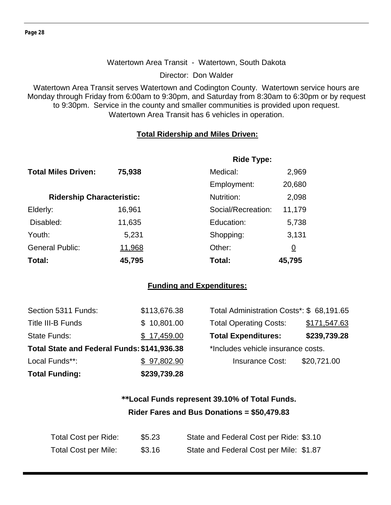#### Watertown Area Transit - Watertown, South Dakota

Director: Don Walder

Watertown Area Transit serves Watertown and Codington County. Watertown service hours are Monday through Friday from 6:00am to 9:30pm, and Saturday from 8:30am to 6:30pm or by request to 9:30pm. Service in the county and smaller communities is provided upon request. Watertown Area Transit has 6 vehicles in operation.

#### **Total Ridership and Miles Driven:**

|                                  |        | <b>Ride Type:</b>  |        |  |
|----------------------------------|--------|--------------------|--------|--|
| <b>Total Miles Driven:</b>       | 75,938 | Medical:           | 2,969  |  |
|                                  |        | Employment:        | 20,680 |  |
| <b>Ridership Characteristic:</b> |        | Nutrition:         | 2,098  |  |
| Elderly:                         | 16,961 | Social/Recreation: | 11,179 |  |
| Disabled:                        | 11,635 | Education:         | 5,738  |  |
| Youth:                           | 5,231  | Shopping:          | 3,131  |  |
| <b>General Public:</b>           | 11,968 | Other:             | 0      |  |
| Total:                           | 45,795 | Total:             | 45,795 |  |

#### **Funding and Expenditures:**

| <b>Total Funding:</b>                       | \$239,739.28 |                                           |              |
|---------------------------------------------|--------------|-------------------------------------------|--------------|
| Local Funds**:                              | \$97,802.90  | <b>Insurance Cost:</b>                    | \$20,721.00  |
| Total State and Federal Funds: \$141,936.38 |              | *Includes vehicle insurance costs.        |              |
| <b>State Funds:</b>                         | \$17,459.00  | <b>Total Expenditures:</b>                | \$239,739.28 |
| Title III-B Funds                           | \$10,801.00  | <b>Total Operating Costs:</b>             | \$171,547.63 |
| Section 5311 Funds:                         | \$113,676.38 | Total Administration Costs*: \$ 68,191.65 |              |

## **\*\*Local Funds represent 39.10% of Total Funds. Rider Fares and Bus Donations = \$50,479.83**

| Total Cost per Ride:        | \$5.23 | State and Federal Cost per Ride: \$3.10 |
|-----------------------------|--------|-----------------------------------------|
| <b>Total Cost per Mile:</b> | \$3.16 | State and Federal Cost per Mile: \$1.87 |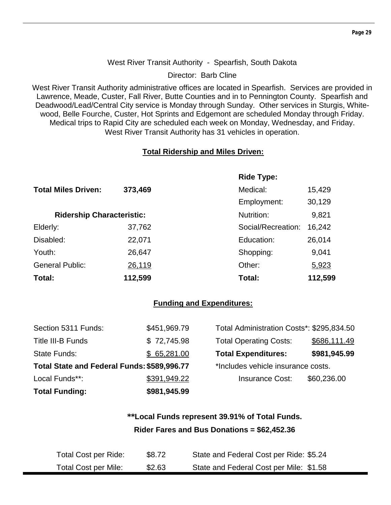#### **Page 29**

#### West River Transit Authority - Spearfish, South Dakota

Director: Barb Cline

West River Transit Authority administrative offices are located in Spearfish. Services are provided in Lawrence, Meade, Custer, Fall River, Butte Counties and in to Pennington County. Spearfish and Deadwood/Lead/Central City service is Monday through Sunday. Other services in Sturgis, Whitewood, Belle Fourche, Custer, Hot Sprints and Edgemont are scheduled Monday through Friday. Medical trips to Rapid City are scheduled each week on Monday, Wednesday, and Friday. West River Transit Authority has 31 vehicles in operation.

#### **Total Ridership and Miles Driven:**

|                                  |         | <b>Ride Type:</b>  |         |
|----------------------------------|---------|--------------------|---------|
| <b>Total Miles Driven:</b>       | 373,469 | Medical:           | 15,429  |
|                                  |         | Employment:        | 30,129  |
| <b>Ridership Characteristic:</b> |         | Nutrition:         | 9,821   |
| Elderly:                         | 37,762  | Social/Recreation: | 16,242  |
| Disabled:                        | 22,071  | Education:         | 26,014  |
| Youth:                           | 26,647  | Shopping:          | 9,041   |
| <b>General Public:</b>           | 26,119  | Other:             | 5,923   |
| Total:                           | 112,599 | Total:             | 112,599 |

#### **Funding and Expenditures:**

| <b>Total Funding:</b>                       | \$981,945.99 |                                           |              |
|---------------------------------------------|--------------|-------------------------------------------|--------------|
| Local Funds**:                              | \$391,949.22 | <b>Insurance Cost:</b>                    | \$60,236.00  |
| Total State and Federal Funds: \$589,996.77 |              | *Includes vehicle insurance costs.        |              |
| State Funds:                                | \$65,281.00  | <b>Total Expenditures:</b>                | \$981,945.99 |
| Title III-B Funds                           | \$72,745.98  | <b>Total Operating Costs:</b>             | \$686,111.49 |
| Section 5311 Funds:                         | \$451,969.79 | Total Administration Costs*: \$295,834.50 |              |

### **\*\*Local Funds represent 39.91% of Total Funds. Rider Fares and Bus Donations = \$62,452.36**

| <b>Total Cost per Ride:</b> | \$8.72 | State and Federal Cost per Ride: \$5.24 |
|-----------------------------|--------|-----------------------------------------|
| <b>Total Cost per Mile:</b> | \$2.63 | State and Federal Cost per Mile: \$1.58 |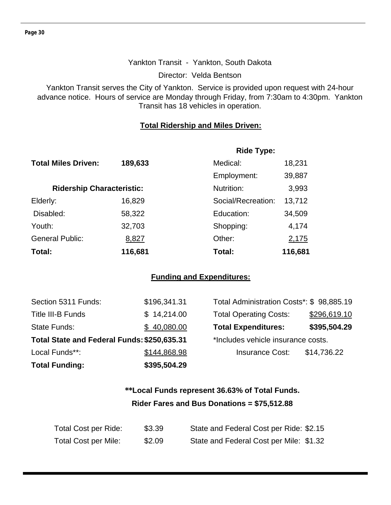#### Yankton Transit - Yankton, South Dakota

Director: Velda Bentson

Yankton Transit serves the City of Yankton. Service is provided upon request with 24-hour advance notice. Hours of service are Monday through Friday, from 7:30am to 4:30pm. Yankton Transit has 18 vehicles in operation.

#### **Total Ridership and Miles Driven:**

|                                  |         | <b>Ride Type:</b>  |              |
|----------------------------------|---------|--------------------|--------------|
| <b>Total Miles Driven:</b>       | 189,633 | Medical:           | 18,231       |
|                                  |         | Employment:        | 39,887       |
| <b>Ridership Characteristic:</b> |         | Nutrition:         | 3,993        |
| Elderly:                         | 16,829  | Social/Recreation: | 13,712       |
| Disabled:                        | 58,322  | Education:         | 34,509       |
| Youth:                           | 32,703  | Shopping:          | 4,174        |
| <b>General Public:</b>           | 8,827   | Other:             | <u>2,175</u> |
| Total:                           | 116,681 | Total:             | 116,681      |

#### **Funding and Expenditures:**

| Section 5311 Funds:                         | \$196,341.31 | Total Administration Costs*: \$98,885.19 |              |
|---------------------------------------------|--------------|------------------------------------------|--------------|
| Title III-B Funds                           | \$14,214.00  | <b>Total Operating Costs:</b>            | \$296,619.10 |
| State Funds:                                | \$40,080.00  | <b>Total Expenditures:</b>               | \$395,504.29 |
| Total State and Federal Funds: \$250,635.31 |              | *Includes vehicle insurance costs.       |              |
| Local Funds**:                              | \$144,868.98 | <b>Insurance Cost:</b>                   | \$14,736.22  |
| <b>Total Funding:</b>                       | \$395,504.29 |                                          |              |

## **\*\*Local Funds represent 36.63% of Total Funds. Rider Fares and Bus Donations = \$75,512.88**

| Total Cost per Ride:        | \$3.39 | State and Federal Cost per Ride: \$2.15 |
|-----------------------------|--------|-----------------------------------------|
| <b>Total Cost per Mile:</b> | \$2.09 | State and Federal Cost per Mile: \$1.32 |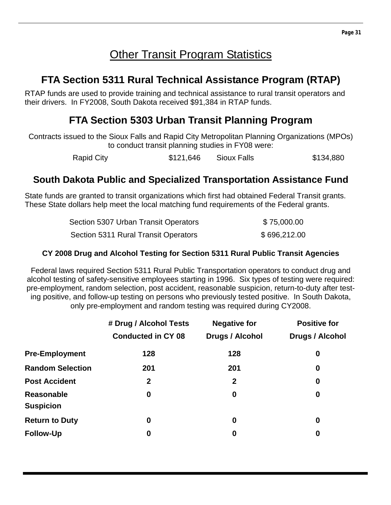## **Other Transit Program Statistics**

## **FTA Section 5311 Rural Technical Assistance Program (RTAP)**

RTAP funds are used to provide training and technical assistance to rural transit operators and their drivers. In FY2008, South Dakota received \$91,384 in RTAP funds.

## **FTA Section 5303 Urban Transit Planning Program**

Contracts issued to the Sioux Falls and Rapid City Metropolitan Planning Organizations (MPOs) to conduct transit planning studies in FY08 were:

Rapid City **\$121,646** Sioux Falls \$134,880

## **South Dakota Public and Specialized Transportation Assistance Fund**

State funds are granted to transit organizations which first had obtained Federal Transit grants. These State dollars help meet the local matching fund requirements of the Federal grants.

| Section 5307 Urban Transit Operators | \$75,000.00  |
|--------------------------------------|--------------|
| Section 5311 Rural Transit Operators | \$696,212.00 |

#### **CY 2008 Drug and Alcohol Testing for Section 5311 Rural Public Transit Agencies**

Federal laws required Section 5311 Rural Public Transportation operators to conduct drug and alcohol testing of safety-sensitive employees starting in 1996. Six types of testing were required: pre-employment, random selection, post accident, reasonable suspicion, return-to-duty after testing positive, and follow-up testing on persons who previously tested positive. In South Dakota, only pre-employment and random testing was required during CY2008.

|                                       | # Drug / Alcohol Tests    | <b>Negative for</b>    | <b>Positive for</b>    |
|---------------------------------------|---------------------------|------------------------|------------------------|
|                                       | <b>Conducted in CY 08</b> | <b>Drugs / Alcohol</b> | <b>Drugs / Alcohol</b> |
| <b>Pre-Employment</b>                 | 128                       | 128                    | 0                      |
| <b>Random Selection</b>               | 201                       | 201                    | $\boldsymbol{0}$       |
| <b>Post Accident</b>                  | $\mathbf 2$               | $\mathbf{2}$           | $\boldsymbol{0}$       |
| <b>Reasonable</b><br><b>Suspicion</b> | $\boldsymbol{0}$          | 0                      | $\boldsymbol{0}$       |
| <b>Return to Duty</b>                 | $\bf{0}$                  | 0                      | $\boldsymbol{0}$       |
| <b>Follow-Up</b>                      | 0                         | 0                      | 0                      |